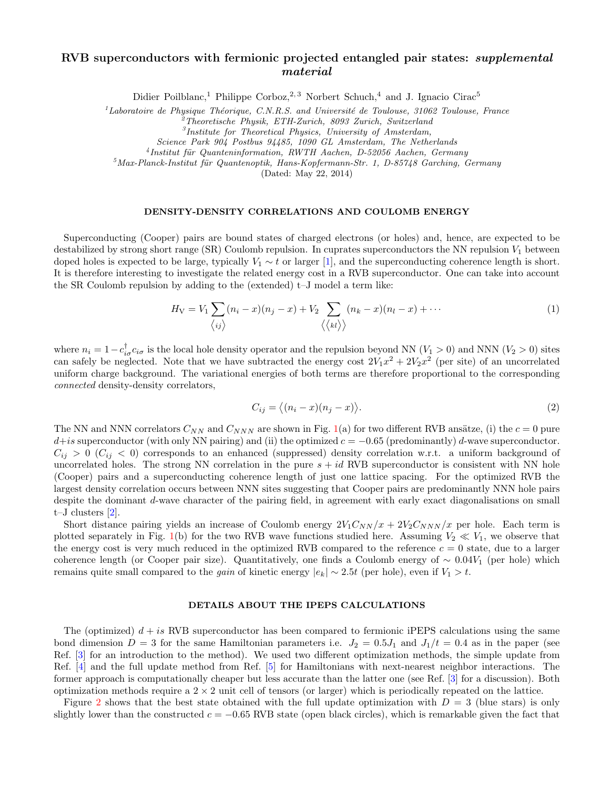## RVB superconductors with fermionic projected entangled pair states: *supplemental* material

Didier Poilblanc,<sup>1</sup> Philippe Corboz,<sup>2, 3</sup> Norbert Schuch,<sup>4</sup> and J. Ignacio Cirac<sup>5</sup>

<sup>1</sup>Laboratoire de Physique Théorique, C.N.R.S. and Université de Toulouse, 31062 Toulouse, France

 $2^2$ Theoretische Physik, ETH-Zurich, 8093 Zurich, Switzerland

Science Park 904 Postbus 94485, 1090 GL Amsterdam, The Netherlands

<sup>4</sup> Institut für Quanteninformation, RWTH Aachen, D-52056 Aachen, Germany

 $^{5}$ Max-Planck-Institut für Quantenoptik, Hans-Kopfermann-Str. 1, D-85748 Garching, Germany

(Dated: May 22, 2014)

## DENSITY-DENSITY CORRELATIONS AND COULOMB ENERGY

Superconducting (Cooper) pairs are bound states of charged electrons (or holes) and, hence, are expected to be destabilized by strong short range (SR) Coulomb repulsion. In cuprates superconductors the NN repulsion  $V_1$  between doped holes is expected to be large, typically  $V_1 \sim t$  or larger [\[1\]](#page-2-0), and the superconducting coherence length is short. It is therefore interesting to investigate the related energy cost in a RVB superconductor. One can take into account the SR Coulomb repulsion by adding to the (extended) t–J model a term like:

$$
H_V = V_1 \sum_{\langle ij \rangle} (n_i - x)(n_j - x) + V_2 \sum_{\langle \langle kl \rangle \rangle} (n_k - x)(n_l - x) + \cdots
$$
 (1)

where  $n_i = 1 - c_{i\sigma}^{\dagger} c_{i\sigma}$  is the local hole density operator and the repulsion beyond NN  $(V_1 > 0)$  and NNN  $(V_2 > 0)$  sites can safely be neglected. Note that we have subtracted the energy cost  $2V_1x^2 + 2V_2x^2$  (per site) of an uncorrelated uniform charge background. The variational energies of both terms are therefore proportional to the corresponding connected density-density correlators,

$$
C_{ij} = \langle (n_i - x)(n_j - x) \rangle.
$$
 (2)

The NN and NNN correlators  $C_{NN}$  and  $C_{NNN}$  are shown in Fig. [1\(](#page-1-0)a) for two different RVB ansätze, (i) the  $c = 0$  pure  $d+is$  superconductor (with only NN pairing) and (ii) the optimized  $c = -0.65$  (predominantly) d-wave superconductor.  $C_{ij} > 0$  ( $C_{ij} < 0$ ) corresponds to an enhanced (suppressed) density correlation w.r.t. a uniform background of uncorrelated holes. The strong NN correlation in the pure  $s + id$  RVB superconductor is consistent with NN hole (Cooper) pairs and a superconducting coherence length of just one lattice spacing. For the optimized RVB the largest density correlation occurs between NNN sites suggesting that Cooper pairs are predominantly NNN hole pairs despite the dominant d-wave character of the pairing field, in agreement with early exact diagonalisations on small t–J clusters [\[2\]](#page-2-1).

Short distance pairing yields an increase of Coulomb energy  $2V_1C_{NN}/x + 2V_2C_{NNN}/x$  per hole. Each term is plotted separately in Fig. [1\(](#page-1-0)b) for the two RVB wave functions studied here. Assuming  $V_2 \ll V_1$ , we observe that the energy cost is very much reduced in the optimized RVB compared to the reference  $c = 0$  state, due to a larger coherence length (or Cooper pair size). Quantitatively, one finds a Coulomb energy of  $\sim 0.04V_1$  (per hole) which remains quite small compared to the *gain* of kinetic energy  $|e_k| \sim 2.5t$  (per hole), even if  $V_1 > t$ .

## DETAILS ABOUT THE IPEPS CALCULATIONS

The (optimized)  $d + is$  RVB superconductor has been compared to fermionic iPEPS calculations using the same bond dimension  $D = 3$  for the same Hamiltonian parameters i.e.  $J_2 = 0.5J_1$  and  $J_1/t = 0.4$  as in the paper (see Ref. [\[3\]](#page-2-2) for an introduction to the method). We used two different optimization methods, the simple update from Ref. [\[4\]](#page-2-3) and the full update method from Ref. [\[5\]](#page-2-4) for Hamiltonians with next-nearest neighbor interactions. The former approach is computationally cheaper but less accurate than the latter one (see Ref. [\[3\]](#page-2-2) for a discussion). Both optimization methods require a  $2 \times 2$  unit cell of tensors (or larger) which is periodically repeated on the lattice.

Figure [2](#page-1-1) shows that the best state obtained with the full update optimization with  $D = 3$  (blue stars) is only slightly lower than the constructed  $c = -0.65$  RVB state (open black circles), which is remarkable given the fact that

 ${}^{3}$ Institute for Theoretical Physics, University of Amsterdam,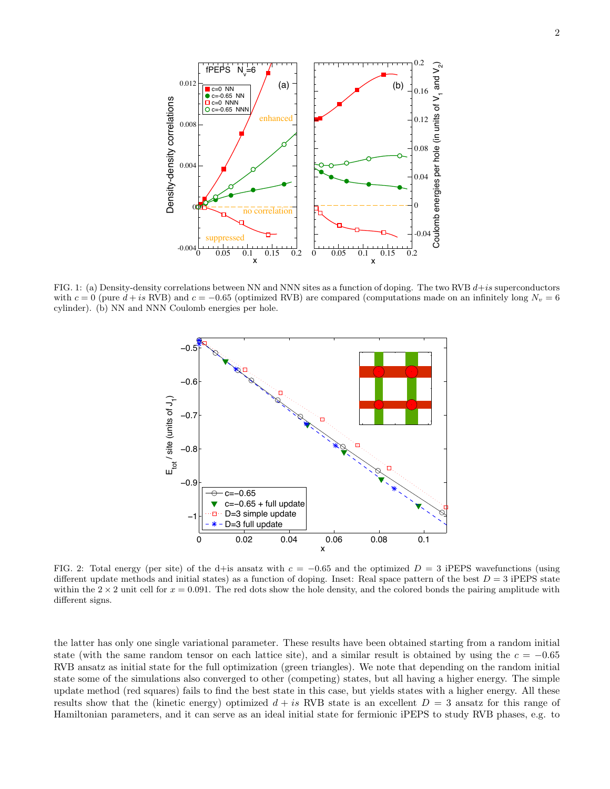

<span id="page-1-0"></span>FIG. 1: (a) Density-density correlations between NN and NNN sites as a function of doping. The two RVB  $d+is$  superconductors with  $c = 0$  (pure  $d + i$ s RVB) and  $c = -0.65$  (optimized RVB) are compared (computations made on an infinitely long  $N_v = 6$ cylinder). (b) NN and NNN Coulomb energies per hole.



<span id="page-1-1"></span>FIG. 2: Total energy (per site) of the d+is ansatz with  $c = -0.65$  and the optimized  $D = 3$  iPEPS wavefunctions (using different update methods and initial states) as a function of doping. Inset: Real space pattern of the best  $D = 3$  iPEPS state within the  $2 \times 2$  unit cell for  $x = 0.091$ . The red dots show the hole density, and the colored bonds the pairing amplitude with different signs.

the latter has only one single variational parameter. These results have been obtained starting from a random initial state (with the same random tensor on each lattice site), and a similar result is obtained by using the  $c = -0.65$ RVB ansatz as initial state for the full optimization (green triangles). We note that depending on the random initial state some of the simulations also converged to other (competing) states, but all having a higher energy. The simple update method (red squares) fails to find the best state in this case, but yields states with a higher energy. All these results show that the (kinetic energy) optimized  $d + is RVB$  state is an excellent  $D = 3$  ansatz for this range of Hamiltonian parameters, and it can serve as an ideal initial state for fermionic iPEPS to study RVB phases, e.g. to